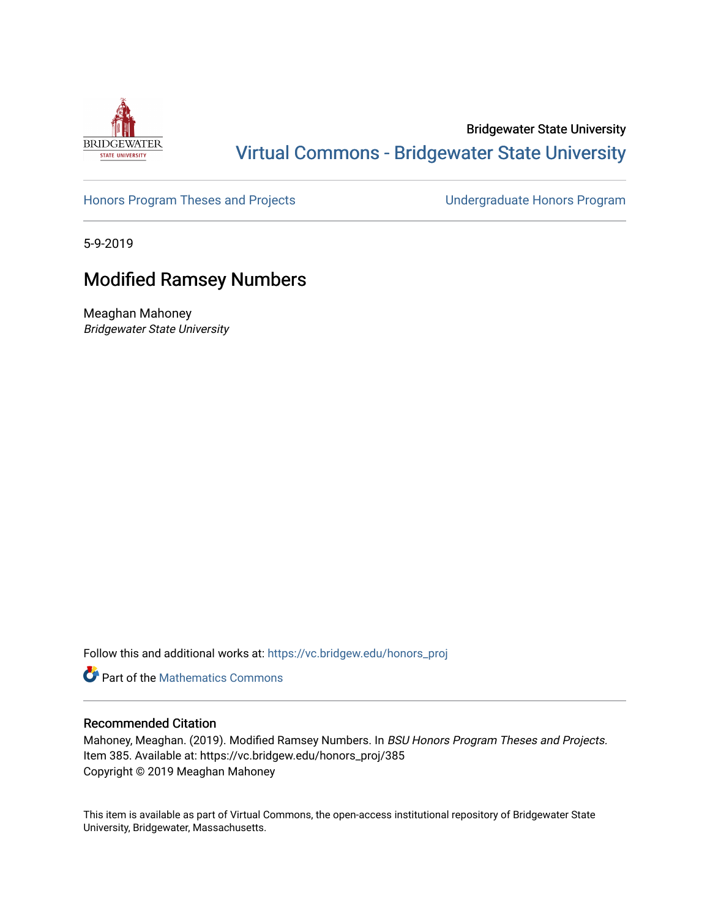

## Bridgewater State University [Virtual Commons - Bridgewater State University](https://vc.bridgew.edu/)

[Honors Program Theses and Projects](https://vc.bridgew.edu/honors_proj) [Undergraduate Honors Program](https://vc.bridgew.edu/honors) 

5-9-2019

# Modified Ramsey Numbers

Meaghan Mahoney Bridgewater State University

Follow this and additional works at: [https://vc.bridgew.edu/honors\\_proj](https://vc.bridgew.edu/honors_proj?utm_source=vc.bridgew.edu%2Fhonors_proj%2F385&utm_medium=PDF&utm_campaign=PDFCoverPages)

**Part of the [Mathematics Commons](http://network.bepress.com/hgg/discipline/174?utm_source=vc.bridgew.edu%2Fhonors_proj%2F385&utm_medium=PDF&utm_campaign=PDFCoverPages)** 

### Recommended Citation

Mahoney, Meaghan. (2019). Modified Ramsey Numbers. In BSU Honors Program Theses and Projects. Item 385. Available at: https://vc.bridgew.edu/honors\_proj/385 Copyright © 2019 Meaghan Mahoney

This item is available as part of Virtual Commons, the open-access institutional repository of Bridgewater State University, Bridgewater, Massachusetts.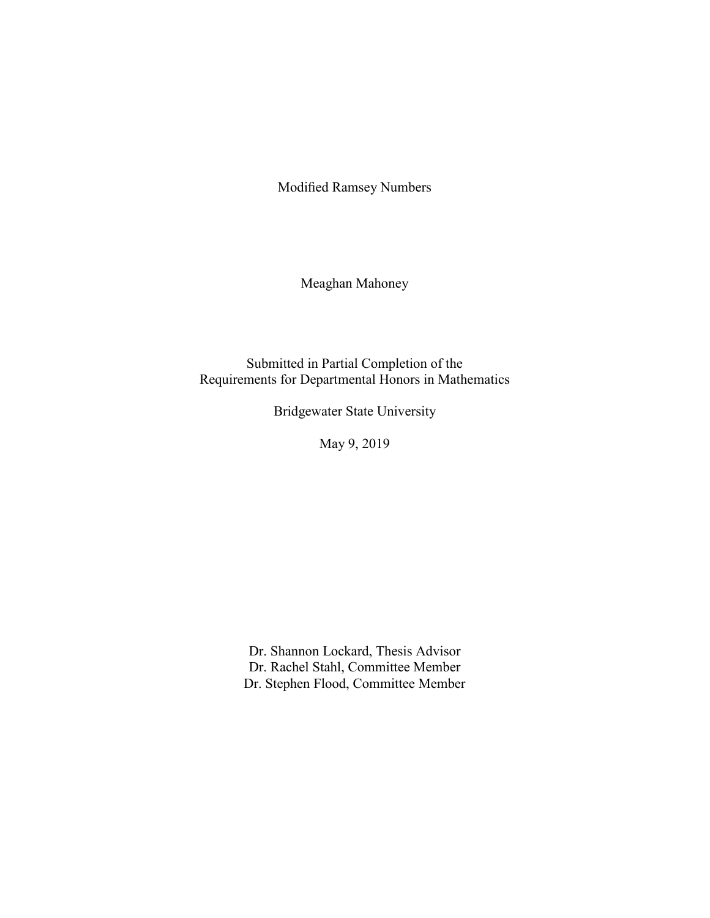Modified Ramsey Numbers

Meaghan Mahoney

Submitted in Partial Completion of the Requirements for Departmental Honors in Mathematics

Bridgewater State University

May 9, 2019

Dr. Shannon Lockard, Thesis Advisor Dr. Rachel Stahl, Committee Member Dr. Stephen Flood, Committee Member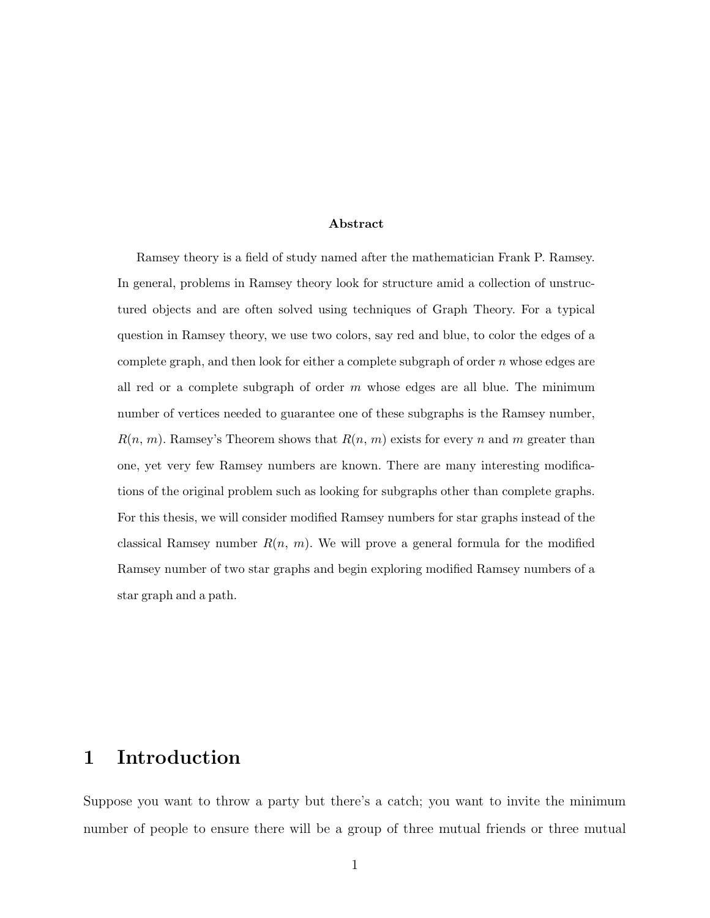#### Abstract

Ramsey theory is a field of study named after the mathematician Frank P. Ramsey. In general, problems in Ramsey theory look for structure amid a collection of unstructured objects and are often solved using techniques of Graph Theory. For a typical question in Ramsey theory, we use two colors, say red and blue, to color the edges of a complete graph, and then look for either a complete subgraph of order  $n$  whose edges are all red or a complete subgraph of order  $m$  whose edges are all blue. The minimum number of vertices needed to guarantee one of these subgraphs is the Ramsey number,  $R(n, m)$ . Ramsey's Theorem shows that  $R(n, m)$  exists for every n and m greater than one, yet very few Ramsey numbers are known. There are many interesting modifications of the original problem such as looking for subgraphs other than complete graphs. For this thesis, we will consider modified Ramsey numbers for star graphs instead of the classical Ramsey number  $R(n, m)$ . We will prove a general formula for the modified Ramsey number of two star graphs and begin exploring modified Ramsey numbers of a star graph and a path.

## 1 Introduction

Suppose you want to throw a party but there's a catch; you want to invite the minimum number of people to ensure there will be a group of three mutual friends or three mutual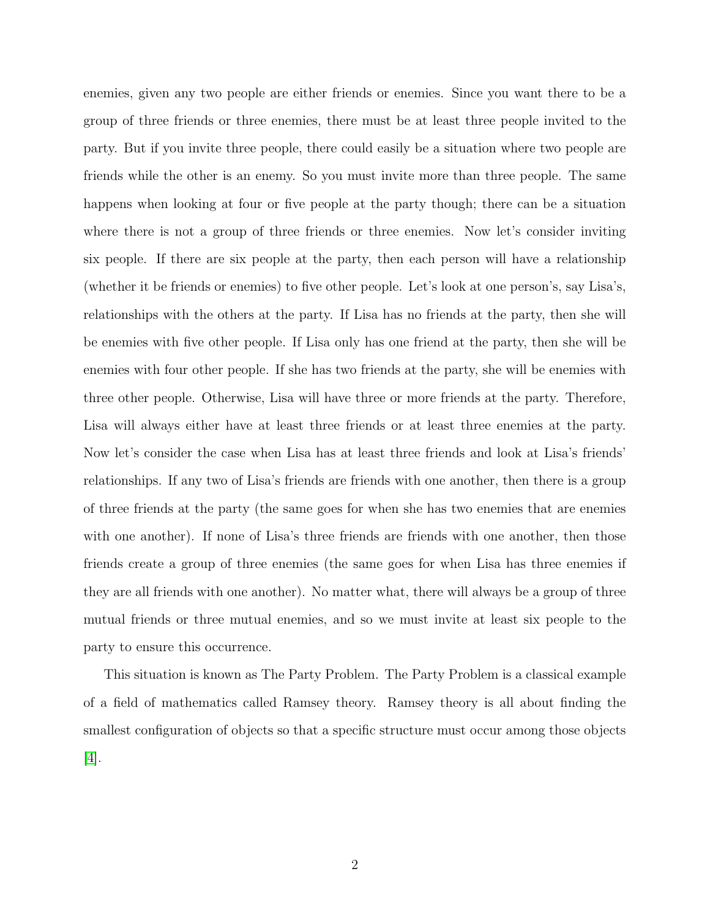enemies, given any two people are either friends or enemies. Since you want there to be a group of three friends or three enemies, there must be at least three people invited to the party. But if you invite three people, there could easily be a situation where two people are friends while the other is an enemy. So you must invite more than three people. The same happens when looking at four or five people at the party though; there can be a situation where there is not a group of three friends or three enemies. Now let's consider inviting six people. If there are six people at the party, then each person will have a relationship (whether it be friends or enemies) to five other people. Let's look at one person's, say Lisa's, relationships with the others at the party. If Lisa has no friends at the party, then she will be enemies with five other people. If Lisa only has one friend at the party, then she will be enemies with four other people. If she has two friends at the party, she will be enemies with three other people. Otherwise, Lisa will have three or more friends at the party. Therefore, Lisa will always either have at least three friends or at least three enemies at the party. Now let's consider the case when Lisa has at least three friends and look at Lisa's friends' relationships. If any two of Lisa's friends are friends with one another, then there is a group of three friends at the party (the same goes for when she has two enemies that are enemies with one another). If none of Lisa's three friends are friends with one another, then those friends create a group of three enemies (the same goes for when Lisa has three enemies if they are all friends with one another). No matter what, there will always be a group of three mutual friends or three mutual enemies, and so we must invite at least six people to the party to ensure this occurrence.

This situation is known as The Party Problem. The Party Problem is a classical example of a field of mathematics called Ramsey theory. Ramsey theory is all about finding the smallest configuration of objects so that a specific structure must occur among those objects [\[4\]](#page-24-0).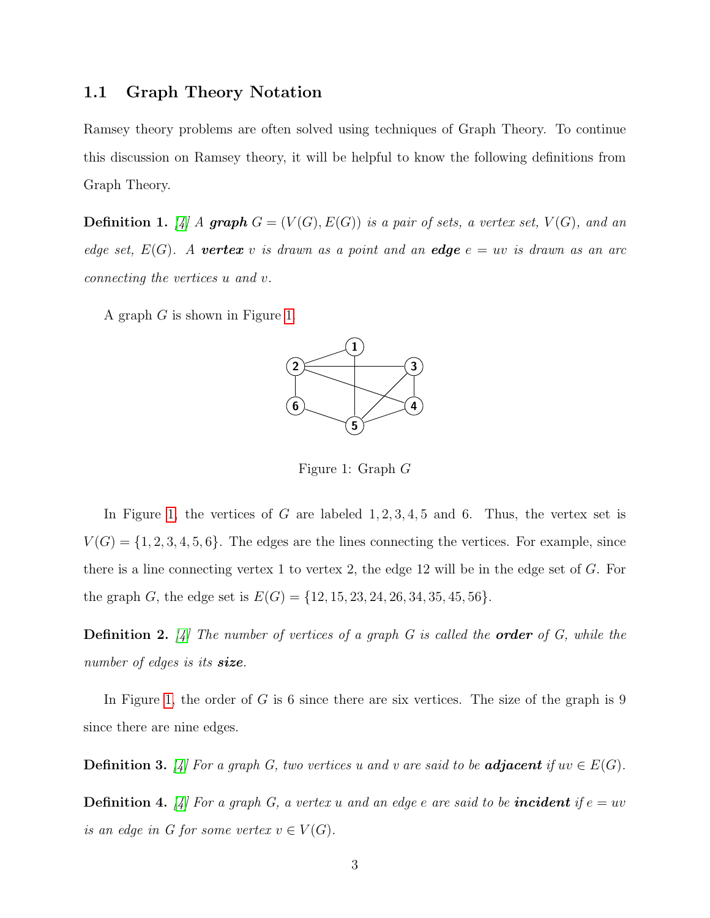### 1.1 Graph Theory Notation

Ramsey theory problems are often solved using techniques of Graph Theory. To continue this discussion on Ramsey theory, it will be helpful to know the following definitions from Graph Theory.

**Definition 1.** [\[4\]](#page-24-0) A **graph**  $G = (V(G), E(G))$  is a pair of sets, a vertex set,  $V(G)$ , and an edge set,  $E(G)$ . A **vertex** v is drawn as a point and an **edge**  $e = uv$  is drawn as an arc connecting the vertices u and v.

<span id="page-4-0"></span>A graph G is shown in Figure [1.](#page-4-0)



Figure 1: Graph G

In Figure [1,](#page-4-0) the vertices of G are labeled  $1, 2, 3, 4, 5$  and 6. Thus, the vertex set is  $V(G) = \{1, 2, 3, 4, 5, 6\}$ . The edges are the lines connecting the vertices. For example, since there is a line connecting vertex 1 to vertex 2, the edge 12 will be in the edge set of G. For the graph G, the edge set is  $E(G) = \{12, 15, 23, 24, 26, 34, 35, 45, 56\}.$ 

**Definition 2.** [\[4\]](#page-24-0) The number of vertices of a graph G is called the **order** of G, while the number of edges is its **size**.

In Figure [1,](#page-4-0) the order of  $G$  is 6 since there are six vertices. The size of the graph is 9 since there are nine edges.

**Definition 3.** [\[4\]](#page-24-0) For a graph G, two vertices u and v are said to be **adjacent** if  $uv \in E(G)$ .

**Definition 4.** [\[4\]](#page-24-0) For a graph G, a vertex u and an edge e are said to be **incident** if  $e = uv$ is an edge in G for some vertex  $v \in V(G)$ .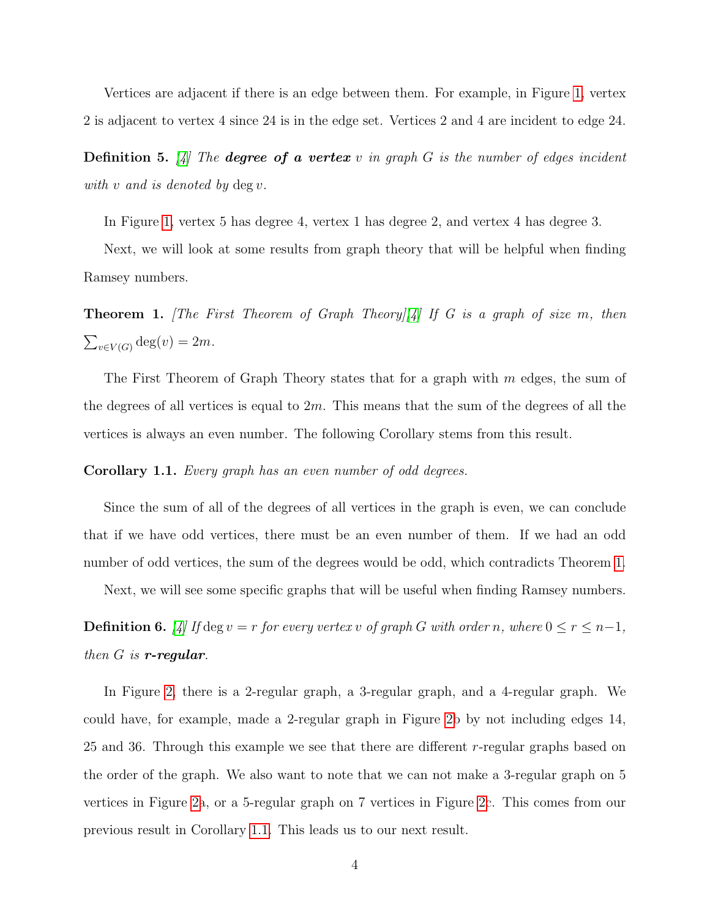Vertices are adjacent if there is an edge between them. For example, in Figure [1,](#page-4-0) vertex 2 is adjacent to vertex 4 since 24 is in the edge set. Vertices 2 and 4 are incident to edge 24.

**Definition 5.** [\[4\]](#page-24-0) The **degree of a vertex** v in graph G is the number of edges incident with  $v$  and is denoted by  $\deg v$ .

In Figure [1,](#page-4-0) vertex 5 has degree 4, vertex 1 has degree 2, and vertex 4 has degree 3.

Next, we will look at some results from graph theory that will be helpful when finding Ramsey numbers.

<span id="page-5-0"></span>**Theorem 1.** [The First Theorem of Graph Theory][\[4\]](#page-24-0) If G is a graph of size m, then  $\sum_{v \in V(G)} \deg(v) = 2m.$ 

The First Theorem of Graph Theory states that for a graph with  $m$  edges, the sum of the degrees of all vertices is equal to  $2m$ . This means that the sum of the degrees of all the vertices is always an even number. The following Corollary stems from this result.

#### <span id="page-5-1"></span>Corollary 1.1. Every graph has an even number of odd degrees.

Since the sum of all of the degrees of all vertices in the graph is even, we can conclude that if we have odd vertices, there must be an even number of them. If we had an odd number of odd vertices, the sum of the degrees would be odd, which contradicts Theorem [1.](#page-5-0)

Next, we will see some specific graphs that will be useful when finding Ramsey numbers.

**Definition 6.** [\[4\]](#page-24-0) If deg  $v = r$  for every vertex v of graph G with order n, where  $0 \le r \le n-1$ , then  $G$  is **r-regular**.

In Figure [2,](#page-6-0) there is a 2-regular graph, a 3-regular graph, and a 4-regular graph. We could have, for example, made a 2-regular graph in Figure [2b](#page-6-0) by not including edges 14, 25 and 36. Through this example we see that there are different  $r$ -regular graphs based on the order of the graph. We also want to note that we can not make a 3-regular graph on 5 vertices in Figure [2a](#page-6-0), or a 5-regular graph on 7 vertices in Figure [2c](#page-6-0). This comes from our previous result in Corollary [1.1.](#page-5-1) This leads us to our next result.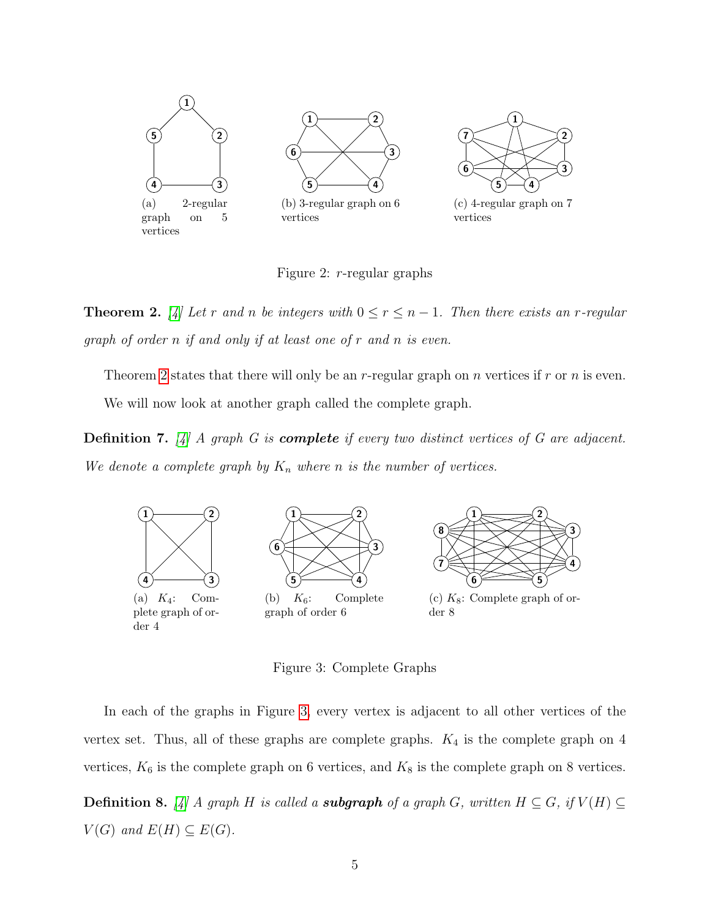<span id="page-6-0"></span>

Figure 2: r-regular graphs

<span id="page-6-1"></span>**Theorem 2.** [\[4\]](#page-24-0) Let r and n be integers with  $0 \le r \le n-1$ . Then there exists an r-regular graph of order n if and only if at least one of r and n is even.

Theorem [2](#page-6-1) states that there will only be an r-regular graph on n vertices if r or n is even. We will now look at another graph called the complete graph.

**Definition 7.** [\[4\]](#page-24-0) A graph G is **complete** if every two distinct vertices of G are adjacent. We denote a complete graph by  $K_n$  where n is the number of vertices.

<span id="page-6-2"></span>

Figure 3: Complete Graphs

In each of the graphs in Figure [3,](#page-6-2) every vertex is adjacent to all other vertices of the vertex set. Thus, all of these graphs are complete graphs.  $K_4$  is the complete graph on 4 vertices,  $K_6$  is the complete graph on 6 vertices, and  $K_8$  is the complete graph on 8 vertices. **Definition 8.** [\[4\]](#page-24-0) A graph H is called a **subgraph** of a graph G, written  $H \subseteq G$ , if  $V(H) \subseteq$  $V(G)$  and  $E(H) \subseteq E(G)$ .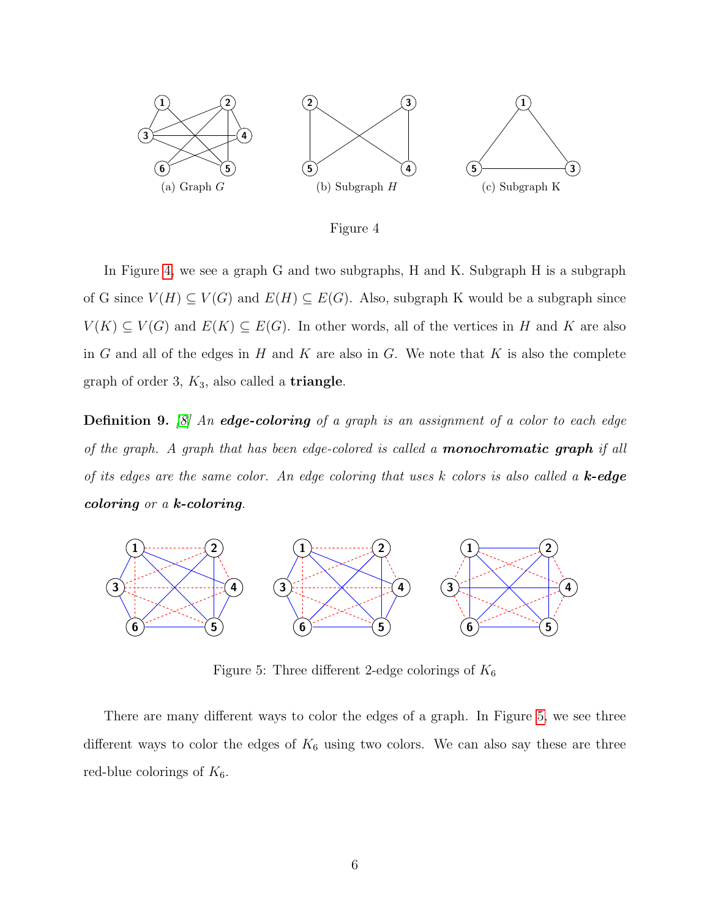<span id="page-7-0"></span>

Figure 4

In Figure [4,](#page-7-0) we see a graph G and two subgraphs, H and K. Subgraph H is a subgraph of G since  $V(H) \subseteq V(G)$  and  $E(H) \subseteq E(G)$ . Also, subgraph K would be a subgraph since  $V(K) \subseteq V(G)$  and  $E(K) \subseteq E(G)$ . In other words, all of the vertices in H and K are also in G and all of the edges in H and K are also in G. We note that K is also the complete graph of order 3,  $K_3$ , also called a **triangle**.

**Definition 9.** [\[8\]](#page-24-1) An **edge-coloring** of a graph is an assignment of a color to each edge of the graph. A graph that has been edge-colored is called a **monochromatic graph** if all of its edges are the same color. An edge coloring that uses  $k$  colors is also called a  $k$ -edge coloring or a k-coloring.

<span id="page-7-1"></span>

Figure 5: Three different 2-edge colorings of  $K_6$ 

There are many different ways to color the edges of a graph. In Figure [5,](#page-7-1) we see three different ways to color the edges of  $K_6$  using two colors. We can also say these are three red-blue colorings of  $K_6$ .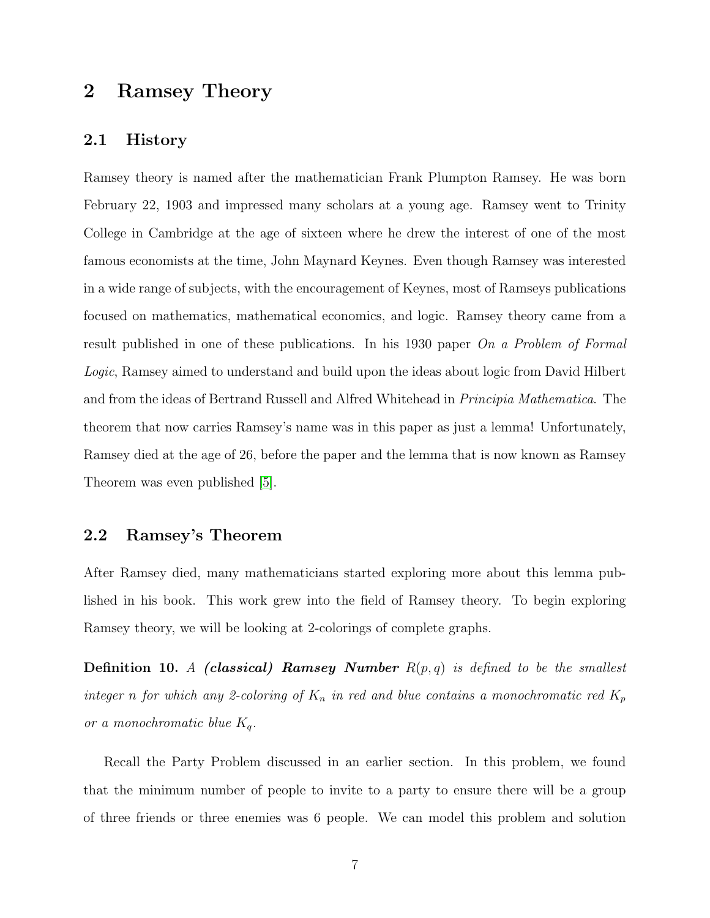## 2 Ramsey Theory

#### 2.1 History

Ramsey theory is named after the mathematician Frank Plumpton Ramsey. He was born February 22, 1903 and impressed many scholars at a young age. Ramsey went to Trinity College in Cambridge at the age of sixteen where he drew the interest of one of the most famous economists at the time, John Maynard Keynes. Even though Ramsey was interested in a wide range of subjects, with the encouragement of Keynes, most of Ramseys publications focused on mathematics, mathematical economics, and logic. Ramsey theory came from a result published in one of these publications. In his 1930 paper On a Problem of Formal Logic, Ramsey aimed to understand and build upon the ideas about logic from David Hilbert and from the ideas of Bertrand Russell and Alfred Whitehead in Principia Mathematica. The theorem that now carries Ramsey's name was in this paper as just a lemma! Unfortunately, Ramsey died at the age of 26, before the paper and the lemma that is now known as Ramsey Theorem was even published [\[5\]](#page-24-2).

### 2.2 Ramsey's Theorem

After Ramsey died, many mathematicians started exploring more about this lemma published in his book. This work grew into the field of Ramsey theory. To begin exploring Ramsey theory, we will be looking at 2-colorings of complete graphs.

**Definition 10.** A (classical) Ramsey Number  $R(p,q)$  is defined to be the smallest integer n for which any 2-coloring of  $K_n$  in red and blue contains a monochromatic red  $K_p$ or a monochromatic blue  $K_q$ .

Recall the Party Problem discussed in an earlier section. In this problem, we found that the minimum number of people to invite to a party to ensure there will be a group of three friends or three enemies was 6 people. We can model this problem and solution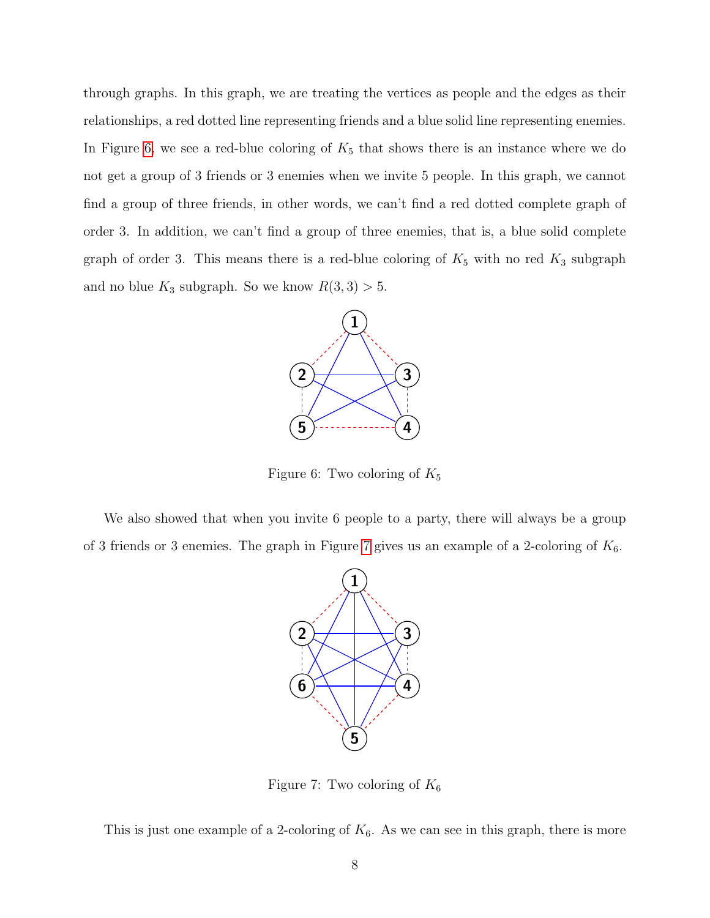through graphs. In this graph, we are treating the vertices as people and the edges as their relationships, a red dotted line representing friends and a blue solid line representing enemies. In Figure [6,](#page-9-0) we see a red-blue coloring of  $K_5$  that shows there is an instance where we do not get a group of 3 friends or 3 enemies when we invite 5 people. In this graph, we cannot find a group of three friends, in other words, we can't find a red dotted complete graph of order 3. In addition, we can't find a group of three enemies, that is, a blue solid complete graph of order 3. This means there is a red-blue coloring of  $K_5$  with no red  $K_3$  subgraph and no blue  $K_3$  subgraph. So we know  $R(3,3) > 5$ .

<span id="page-9-0"></span>

Figure 6: Two coloring of  $K_5$ 

<span id="page-9-1"></span>We also showed that when you invite 6 people to a party, there will always be a group of 3 friends or 3 enemies. The graph in Figure [7](#page-9-1) gives us an example of a 2-coloring of  $K_6$ .



Figure 7: Two coloring of  $K_6$ 

This is just one example of a 2-coloring of  $K_6$ . As we can see in this graph, there is more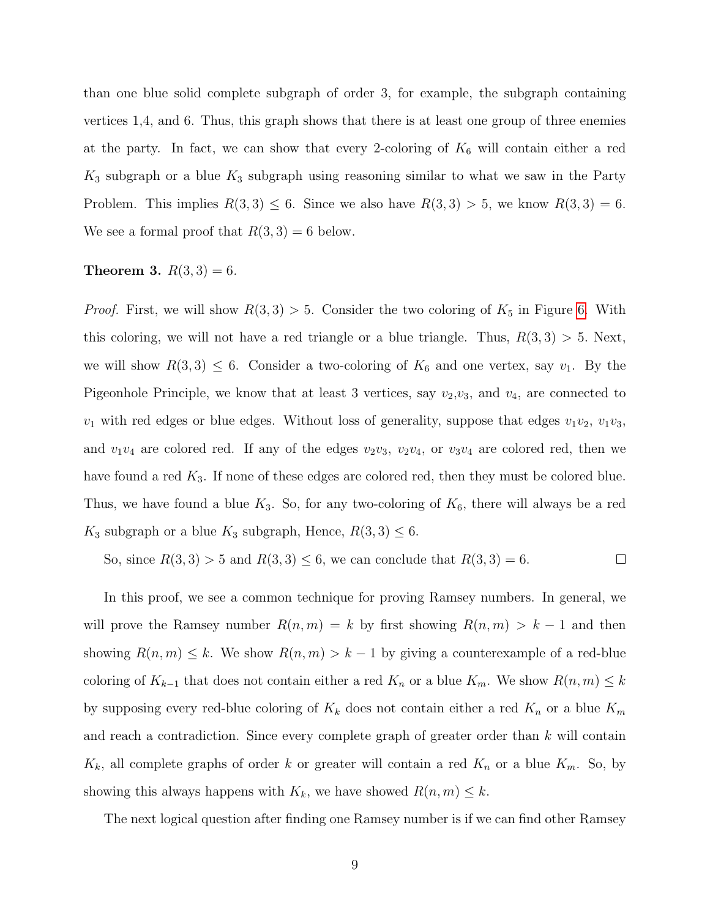than one blue solid complete subgraph of order 3, for example, the subgraph containing vertices 1,4, and 6. Thus, this graph shows that there is at least one group of three enemies at the party. In fact, we can show that every 2-coloring of  $K_6$  will contain either a red  $K_3$  subgraph or a blue  $K_3$  subgraph using reasoning similar to what we saw in the Party Problem. This implies  $R(3,3) \leq 6$ . Since we also have  $R(3,3) > 5$ , we know  $R(3,3) = 6$ . We see a formal proof that  $R(3,3) = 6$  below.

#### **Theorem 3.**  $R(3,3) = 6$ .

*Proof.* First, we will show  $R(3,3) > 5$ . Consider the two coloring of  $K_5$  in Figure [6.](#page-9-0) With this coloring, we will not have a red triangle or a blue triangle. Thus,  $R(3,3) > 5$ . Next, we will show  $R(3,3) \leq 6$ . Consider a two-coloring of  $K_6$  and one vertex, say  $v_1$ . By the Pigeonhole Principle, we know that at least 3 vertices, say  $v_2,v_3$ , and  $v_4$ , are connected to  $v_1$  with red edges or blue edges. Without loss of generality, suppose that edges  $v_1v_2$ ,  $v_1v_3$ , and  $v_1v_4$  are colored red. If any of the edges  $v_2v_3$ ,  $v_2v_4$ , or  $v_3v_4$  are colored red, then we have found a red  $K_3$ . If none of these edges are colored red, then they must be colored blue. Thus, we have found a blue  $K_3$ . So, for any two-coloring of  $K_6$ , there will always be a red  $K_3$  subgraph or a blue  $K_3$  subgraph, Hence,  $R(3,3) \leq 6$ .

So, since 
$$
R(3,3) > 5
$$
 and  $R(3,3) \le 6$ , we can conclude that  $R(3,3) = 6$ .

In this proof, we see a common technique for proving Ramsey numbers. In general, we will prove the Ramsey number  $R(n, m) = k$  by first showing  $R(n, m) > k - 1$  and then showing  $R(n, m) \leq k$ . We show  $R(n, m) > k - 1$  by giving a counterexample of a red-blue coloring of  $K_{k-1}$  that does not contain either a red  $K_n$  or a blue  $K_m$ . We show  $R(n, m) \leq k$ by supposing every red-blue coloring of  $K_k$  does not contain either a red  $K_n$  or a blue  $K_m$ and reach a contradiction. Since every complete graph of greater order than  $k$  will contain  $K_k$ , all complete graphs of order k or greater will contain a red  $K_n$  or a blue  $K_m$ . So, by showing this always happens with  $K_k$ , we have showed  $R(n, m) \leq k$ .

The next logical question after finding one Ramsey number is if we can find other Ramsey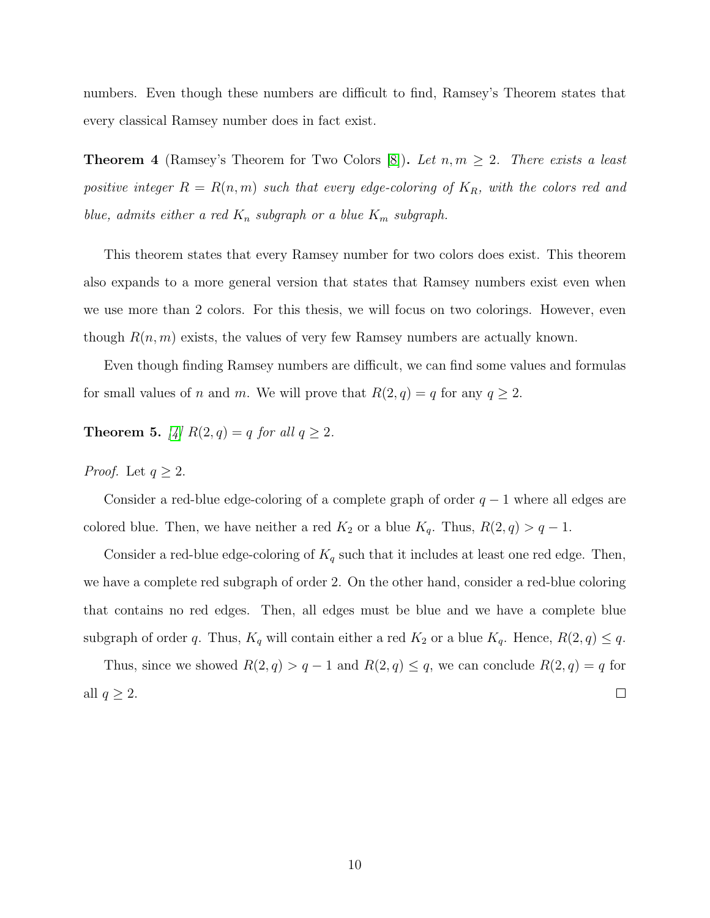numbers. Even though these numbers are difficult to find, Ramsey's Theorem states that every classical Ramsey number does in fact exist.

**Theorem 4** (Ramsey's Theorem for Two Colors [\[8\]](#page-24-1)). Let  $n, m \geq 2$ . There exists a least positive integer  $R = R(n, m)$  such that every edge-coloring of  $K_R$ , with the colors red and blue, admits either a red  $K_n$  subgraph or a blue  $K_m$  subgraph.

This theorem states that every Ramsey number for two colors does exist. This theorem also expands to a more general version that states that Ramsey numbers exist even when we use more than 2 colors. For this thesis, we will focus on two colorings. However, even though  $R(n, m)$  exists, the values of very few Ramsey numbers are actually known.

Even though finding Ramsey numbers are difficult, we can find some values and formulas for small values of n and m. We will prove that  $R(2, q) = q$  for any  $q \ge 2$ .

**Theorem 5.** [\[4\]](#page-24-0)  $R(2,q) = q$  for all  $q \ge 2$ .

*Proof.* Let  $q \geq 2$ .

Consider a red-blue edge-coloring of a complete graph of order  $q-1$  where all edges are colored blue. Then, we have neither a red  $K_2$  or a blue  $K_q$ . Thus,  $R(2,q) > q - 1$ .

Consider a red-blue edge-coloring of  $K_q$  such that it includes at least one red edge. Then, we have a complete red subgraph of order 2. On the other hand, consider a red-blue coloring that contains no red edges. Then, all edges must be blue and we have a complete blue subgraph of order q. Thus,  $K_q$  will contain either a red  $K_2$  or a blue  $K_q$ . Hence,  $R(2,q) \leq q$ .

Thus, since we showed  $R(2,q) > q-1$  and  $R(2,q) \leq q$ , we can conclude  $R(2,q) = q$  for all  $q \geq 2$ .  $\Box$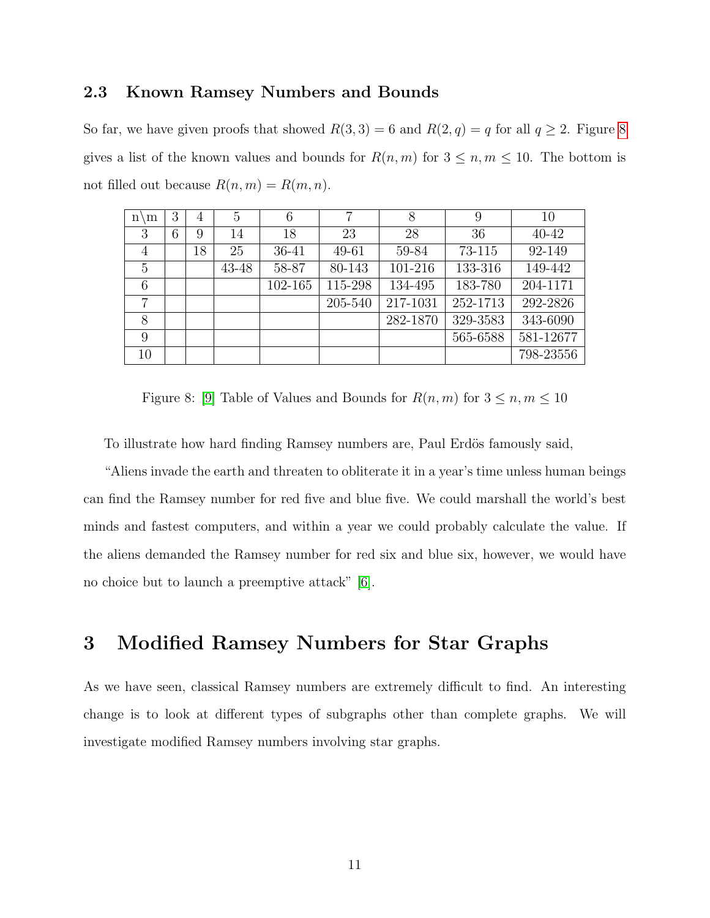### 2.3 Known Ramsey Numbers and Bounds

So far, we have given proofs that showed  $R(3,3) = 6$  and  $R(2,q) = q$  for all  $q \ge 2$ . Figure [8](#page-12-0) gives a list of the known values and bounds for  $R(n, m)$  for  $3 \leq n, m \leq 10$ . The bottom is not filled out because  $R(n, m) = R(m, n)$ .

<span id="page-12-0"></span>

| m<br>n١        | 3 | 4  | 5     | 6       | 7       | 8        | 9        | 10        |
|----------------|---|----|-------|---------|---------|----------|----------|-----------|
| 3              | 6 | 9  | 14    | 18      | 23      | 28       | 36       | $40 - 42$ |
| $\overline{4}$ |   | 18 | 25    | 36-41   | 49-61   | 59-84    | 73-115   | 92-149    |
| 5              |   |    | 43-48 | 58-87   | 80-143  | 101-216  | 133-316  | 149-442   |
| 6              |   |    |       | 102-165 | 115-298 | 134-495  | 183-780  | 204-1171  |
| 7              |   |    |       |         | 205-540 | 217-1031 | 252-1713 | 292-2826  |
| 8              |   |    |       |         |         | 282-1870 | 329-3583 | 343-6090  |
| 9              |   |    |       |         |         |          | 565-6588 | 581-12677 |
| 10             |   |    |       |         |         |          |          | 798-23556 |

Figure 8: [\[9\]](#page-24-3) Table of Values and Bounds for  $R(n, m)$  for  $3 \leq n, m \leq 10$ 

To illustrate how hard finding Ramsey numbers are, Paul Erdös famously said,

"Aliens invade the earth and threaten to obliterate it in a year's time unless human beings can find the Ramsey number for red five and blue five. We could marshall the world's best minds and fastest computers, and within a year we could probably calculate the value. If the aliens demanded the Ramsey number for red six and blue six, however, we would have no choice but to launch a preemptive attack" [\[6\]](#page-24-4).

## 3 Modified Ramsey Numbers for Star Graphs

As we have seen, classical Ramsey numbers are extremely difficult to find. An interesting change is to look at different types of subgraphs other than complete graphs. We will investigate modified Ramsey numbers involving star graphs.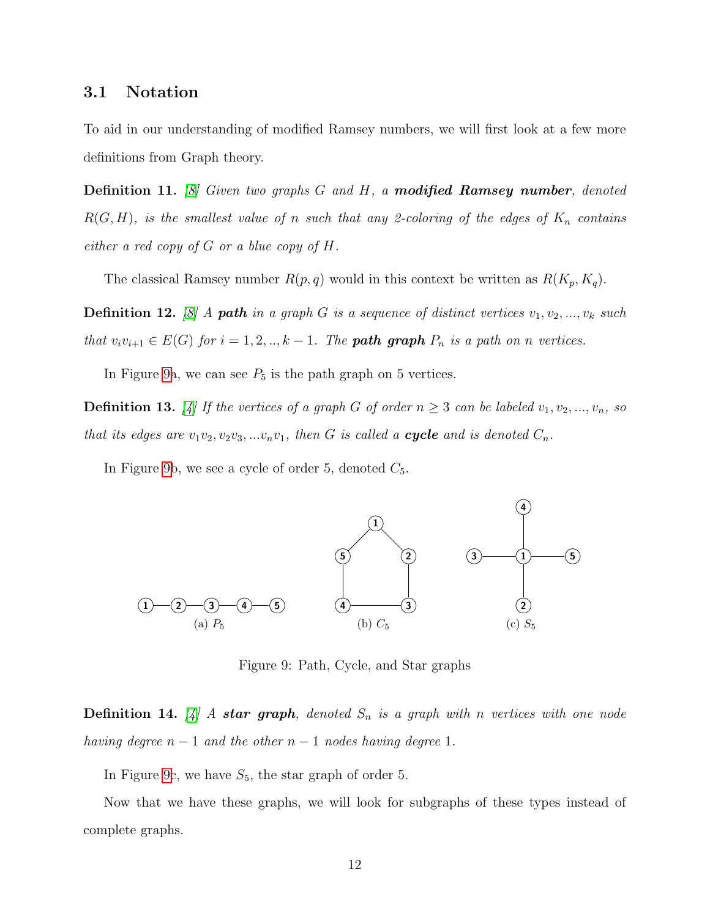### 3.1 Notation

To aid in our understanding of modified Ramsey numbers, we will first look at a few more definitions from Graph theory.

**Definition 11.** [\[8\]](#page-24-1) Given two graphs  $G$  and  $H$ , a **modified Ramsey number**, denoted  $R(G, H)$ , is the smallest value of n such that any 2-coloring of the edges of  $K_n$  contains either a red copy of  $G$  or a blue copy of  $H$ .

The classical Ramsey number  $R(p, q)$  would in this context be written as  $R(K_p, K_q)$ .

**Definition 12.** [\[8\]](#page-24-1) A **path** in a graph G is a sequence of distinct vertices  $v_1, v_2, ..., v_k$  such that  $v_i v_{i+1} \in E(G)$  for  $i = 1, 2, ..., k-1$ . The **path graph**  $P_n$  is a path on n vertices.

In Figure [9a](#page-13-0), we can see  $P_5$  is the path graph on 5 vertices.

**Definition 13.** [\[4\]](#page-24-0) If the vertices of a graph G of order  $n \geq 3$  can be labeled  $v_1, v_2, ..., v_n$ , so that its edges are  $v_1v_2, v_2v_3, \ldots v_nv_1$ , then G is called a **cycle** and is denoted  $C_n$ .

<span id="page-13-0"></span>In Figure [9b](#page-13-0), we see a cycle of order 5, denoted  $C_5$ .



Figure 9: Path, Cycle, and Star graphs

**Definition 14.** [\[4\]](#page-24-0) A star graph, denoted  $S_n$  is a graph with n vertices with one node having degree  $n-1$  and the other  $n-1$  nodes having degree 1.

In Figure [9c](#page-13-0), we have  $S_5$ , the star graph of order 5.

Now that we have these graphs, we will look for subgraphs of these types instead of complete graphs.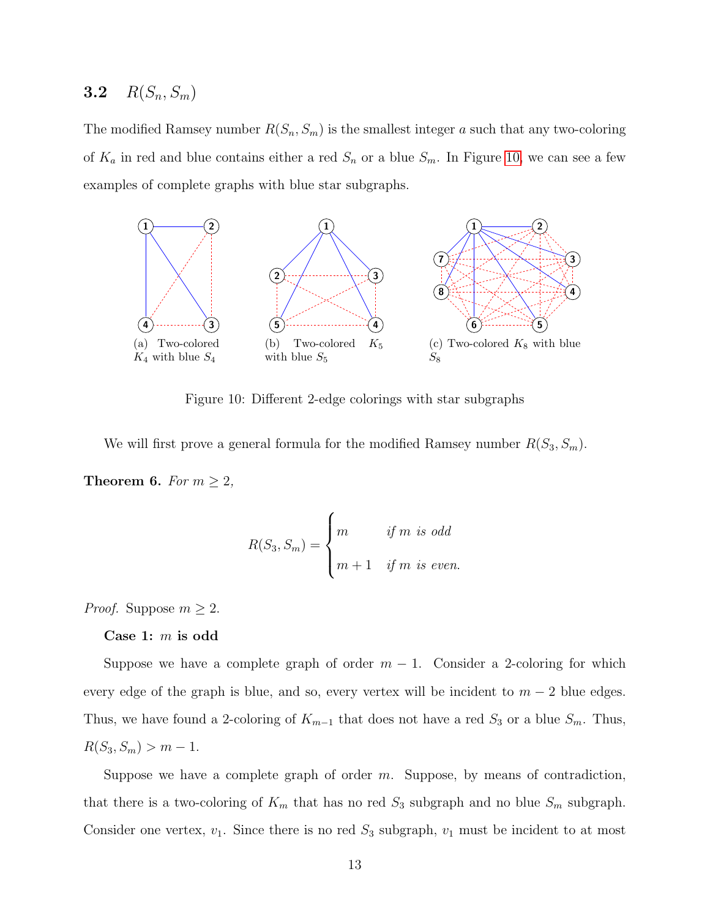## **3.2**  $R(S_n, S_m)$

The modified Ramsey number  $R(S_n, S_m)$  is the smallest integer a such that any two-coloring of  $K_a$  in red and blue contains either a red  $S_n$  or a blue  $S_m$ . In Figure [10,](#page-14-0) we can see a few examples of complete graphs with blue star subgraphs.

<span id="page-14-0"></span>

Figure 10: Different 2-edge colorings with star subgraphs

We will first prove a general formula for the modified Ramsey number  $R(S_3, S_m)$ .

**Theorem 6.** For  $m \geq 2$ ,

$$
R(S_3, S_m) = \begin{cases} m & \text{if } m \text{ is odd} \\ m+1 & \text{if } m \text{ is even.} \end{cases}
$$

*Proof.* Suppose  $m \geq 2$ .

Case 1:  $m$  is odd

Suppose we have a complete graph of order  $m-1$ . Consider a 2-coloring for which every edge of the graph is blue, and so, every vertex will be incident to  $m-2$  blue edges. Thus, we have found a 2-coloring of  $K_{m-1}$  that does not have a red  $S_3$  or a blue  $S_m$ . Thus,  $R(S_3, S_m) > m - 1.$ 

Suppose we have a complete graph of order  $m$ . Suppose, by means of contradiction, that there is a two-coloring of  $K_m$  that has no red  $S_3$  subgraph and no blue  $S_m$  subgraph. Consider one vertex,  $v_1$ . Since there is no red  $S_3$  subgraph,  $v_1$  must be incident to at most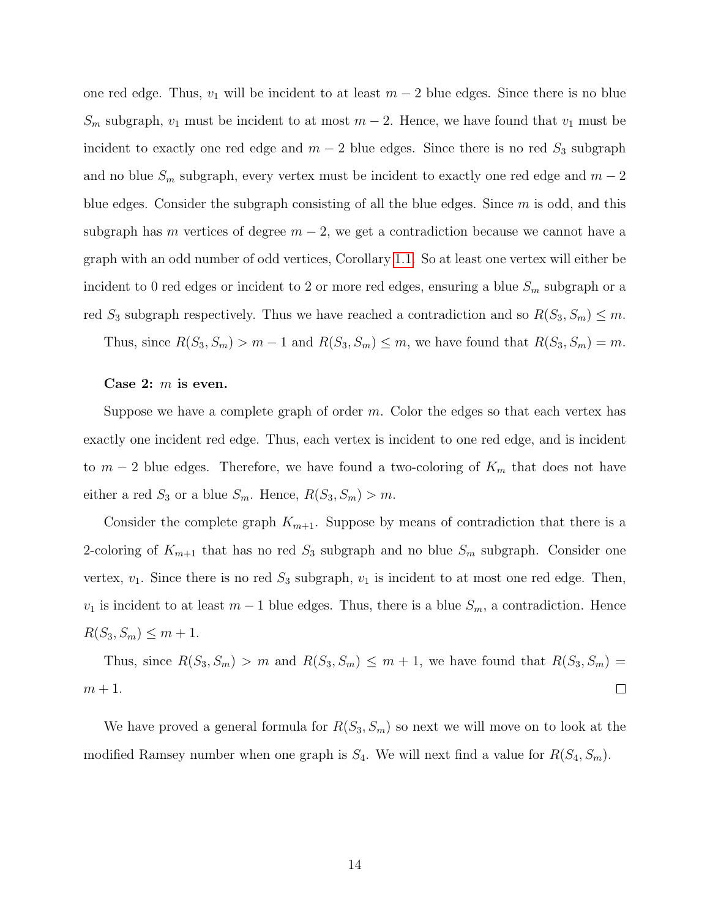one red edge. Thus,  $v_1$  will be incident to at least  $m-2$  blue edges. Since there is no blue  $S_m$  subgraph,  $v_1$  must be incident to at most  $m-2$ . Hence, we have found that  $v_1$  must be incident to exactly one red edge and  $m-2$  blue edges. Since there is no red  $S_3$  subgraph and no blue  $S_m$  subgraph, every vertex must be incident to exactly one red edge and  $m-2$ blue edges. Consider the subgraph consisting of all the blue edges. Since  $m$  is odd, and this subgraph has m vertices of degree  $m-2$ , we get a contradiction because we cannot have a graph with an odd number of odd vertices, Corollary [1.1.](#page-5-1) So at least one vertex will either be incident to 0 red edges or incident to 2 or more red edges, ensuring a blue  $S_m$  subgraph or a red  $S_3$  subgraph respectively. Thus we have reached a contradiction and so  $R(S_3, S_m) \leq m$ .

Thus, since  $R(S_3, S_m) > m - 1$  and  $R(S_3, S_m) \le m$ , we have found that  $R(S_3, S_m) = m$ .

#### Case 2:  $m$  is even.

Suppose we have a complete graph of order  $m$ . Color the edges so that each vertex has exactly one incident red edge. Thus, each vertex is incident to one red edge, and is incident to  $m-2$  blue edges. Therefore, we have found a two-coloring of  $K_m$  that does not have either a red  $S_3$  or a blue  $S_m$ . Hence,  $R(S_3, S_m) > m$ .

Consider the complete graph  $K_{m+1}$ . Suppose by means of contradiction that there is a 2-coloring of  $K_{m+1}$  that has no red  $S_3$  subgraph and no blue  $S_m$  subgraph. Consider one vertex,  $v_1$ . Since there is no red  $S_3$  subgraph,  $v_1$  is incident to at most one red edge. Then,  $v_1$  is incident to at least  $m-1$  blue edges. Thus, there is a blue  $S_m$ , a contradiction. Hence  $R(S_3, S_m) \leq m + 1.$ 

Thus, since  $R(S_3, S_m) > m$  and  $R(S_3, S_m) \leq m + 1$ , we have found that  $R(S_3, S_m) =$  $m + 1$ .  $\Box$ 

We have proved a general formula for  $R(S_3, S_m)$  so next we will move on to look at the modified Ramsey number when one graph is  $S_4$ . We will next find a value for  $R(S_4, S_m)$ .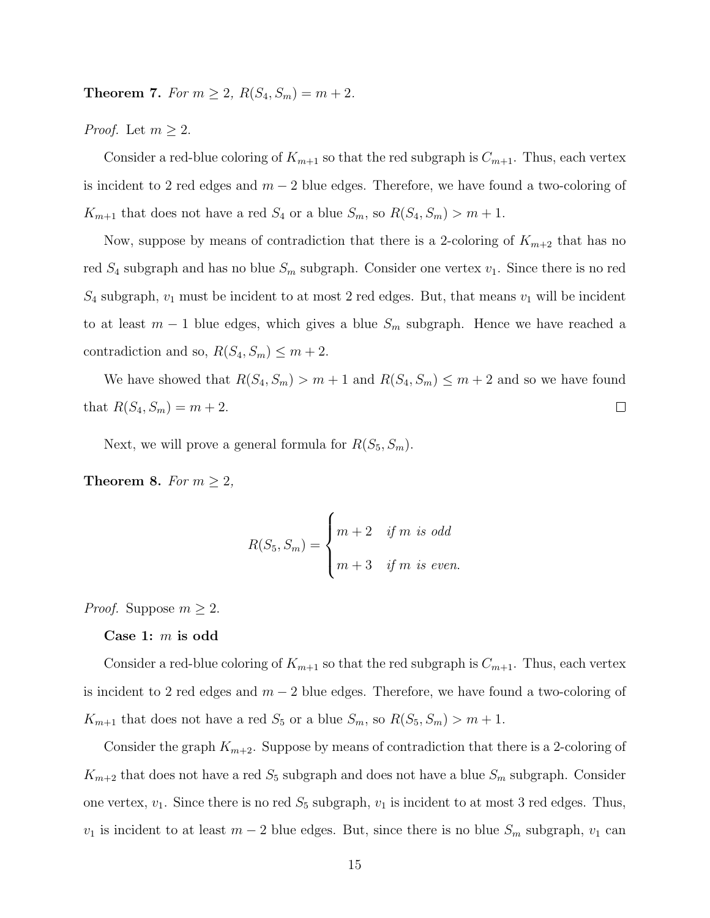**Theorem 7.** For  $m \ge 2$ ,  $R(S_4, S_m) = m + 2$ .

*Proof.* Let  $m \geq 2$ .

Consider a red-blue coloring of  $K_{m+1}$  so that the red subgraph is  $C_{m+1}$ . Thus, each vertex is incident to 2 red edges and  $m-2$  blue edges. Therefore, we have found a two-coloring of  $K_{m+1}$  that does not have a red  $S_4$  or a blue  $S_m$ , so  $R(S_4, S_m) > m+1$ .

Now, suppose by means of contradiction that there is a 2-coloring of  $K_{m+2}$  that has no red  $S_4$  subgraph and has no blue  $S_m$  subgraph. Consider one vertex  $v_1$ . Since there is no red  $S_4$  subgraph,  $v_1$  must be incident to at most 2 red edges. But, that means  $v_1$  will be incident to at least  $m-1$  blue edges, which gives a blue  $S_m$  subgraph. Hence we have reached a contradiction and so,  $R(S_4, S_m) \leq m + 2$ .

We have showed that  $R(S_4, S_m) > m + 1$  and  $R(S_4, S_m) \le m + 2$  and so we have found that  $R(S_4, S_m) = m + 2$ .  $\Box$ 

Next, we will prove a general formula for  $R(S_5, S_m)$ .

**Theorem 8.** For  $m \geq 2$ ,

$$
R(S_5, S_m) = \begin{cases} m+2 & \text{if } m \text{ is odd} \\ m+3 & \text{if } m \text{ is even.} \end{cases}
$$

*Proof.* Suppose  $m \geq 2$ .

Case 1:  $m$  is odd

Consider a red-blue coloring of  $K_{m+1}$  so that the red subgraph is  $C_{m+1}$ . Thus, each vertex is incident to 2 red edges and  $m-2$  blue edges. Therefore, we have found a two-coloring of  $K_{m+1}$  that does not have a red  $S_5$  or a blue  $S_m$ , so  $R(S_5, S_m) > m+1$ .

Consider the graph  $K_{m+2}$ . Suppose by means of contradiction that there is a 2-coloring of  $K_{m+2}$  that does not have a red  $S_5$  subgraph and does not have a blue  $S_m$  subgraph. Consider one vertex,  $v_1$ . Since there is no red  $S_5$  subgraph,  $v_1$  is incident to at most 3 red edges. Thus,  $v_1$  is incident to at least  $m-2$  blue edges. But, since there is no blue  $S_m$  subgraph,  $v_1$  can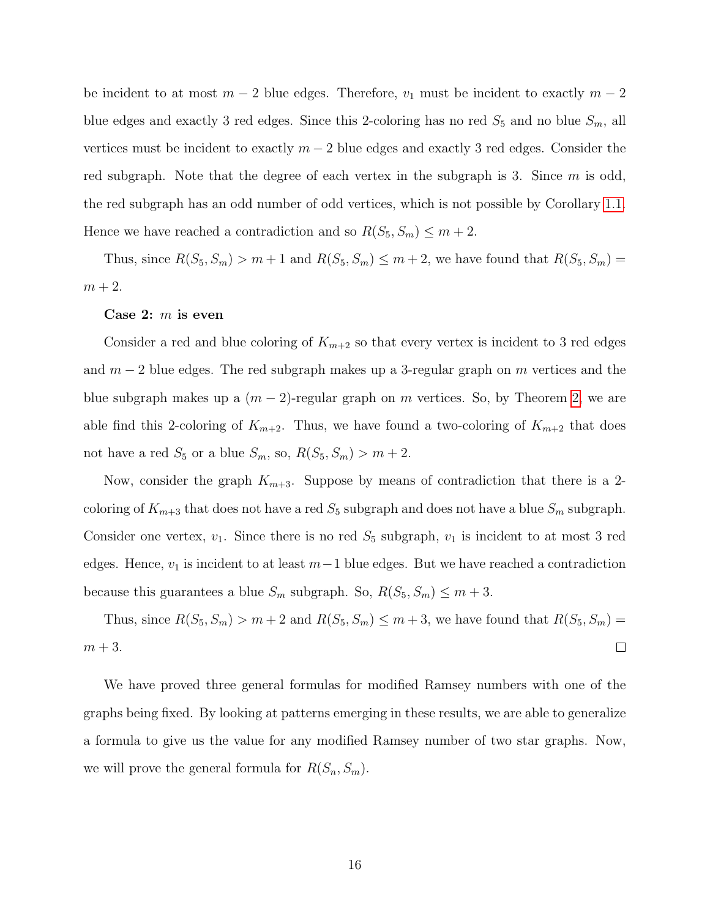be incident to at most  $m-2$  blue edges. Therefore,  $v_1$  must be incident to exactly  $m-2$ blue edges and exactly 3 red edges. Since this 2-coloring has no red  $S_5$  and no blue  $S_m$ , all vertices must be incident to exactly  $m-2$  blue edges and exactly 3 red edges. Consider the red subgraph. Note that the degree of each vertex in the subgraph is 3. Since  $m$  is odd, the red subgraph has an odd number of odd vertices, which is not possible by Corollary [1.1.](#page-5-1) Hence we have reached a contradiction and so  $R(S_5, S_m) \leq m + 2$ .

Thus, since  $R(S_5, S_m) > m + 1$  and  $R(S_5, S_m) \le m + 2$ , we have found that  $R(S_5, S_m) =$  $m+2$ .

#### Case 2:  $m$  is even

Consider a red and blue coloring of  $K_{m+2}$  so that every vertex is incident to 3 red edges and  $m-2$  blue edges. The red subgraph makes up a 3-regular graph on m vertices and the blue subgraph makes up a  $(m-2)$ -regular graph on m vertices. So, by Theorem [2,](#page-6-1) we are able find this 2-coloring of  $K_{m+2}$ . Thus, we have found a two-coloring of  $K_{m+2}$  that does not have a red  $S_5$  or a blue  $S_m$ , so,  $R(S_5, S_m) > m + 2$ .

Now, consider the graph  $K_{m+3}$ . Suppose by means of contradiction that there is a 2coloring of  $K_{m+3}$  that does not have a red  $S_5$  subgraph and does not have a blue  $S_m$  subgraph. Consider one vertex,  $v_1$ . Since there is no red  $S_5$  subgraph,  $v_1$  is incident to at most 3 red edges. Hence,  $v_1$  is incident to at least  $m-1$  blue edges. But we have reached a contradiction because this guarantees a blue  $S_m$  subgraph. So,  $R(S_5, S_m) \leq m + 3$ .

Thus, since  $R(S_5, S_m) > m + 2$  and  $R(S_5, S_m) \le m + 3$ , we have found that  $R(S_5, S_m) =$  $m + 3$ .  $\Box$ 

We have proved three general formulas for modified Ramsey numbers with one of the graphs being fixed. By looking at patterns emerging in these results, we are able to generalize a formula to give us the value for any modified Ramsey number of two star graphs. Now, we will prove the general formula for  $R(S_n, S_m)$ .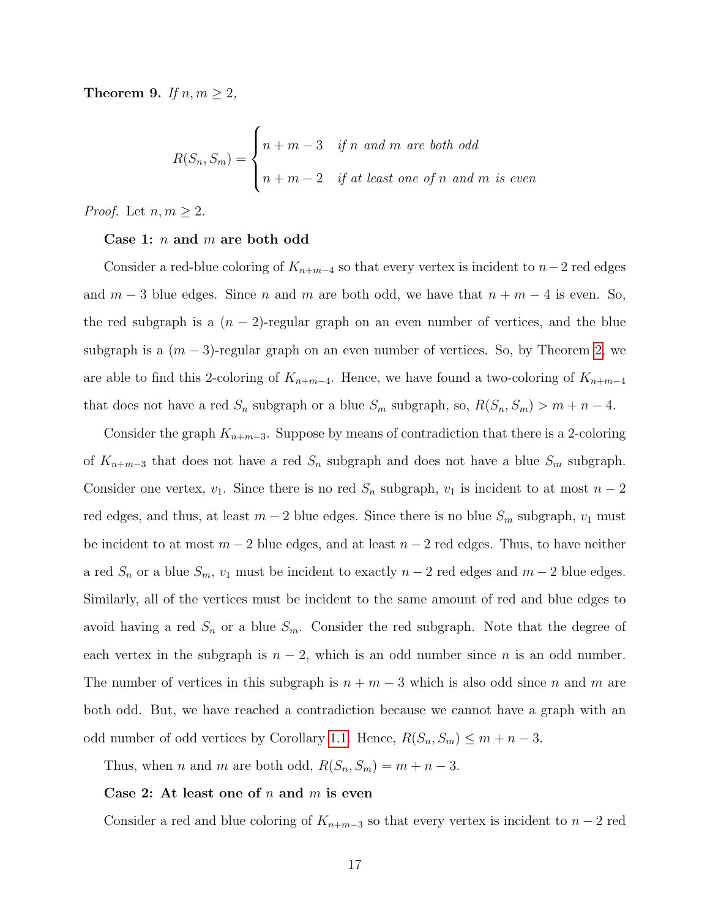<span id="page-18-0"></span>Theorem 9. If  $n, m \geq 2$ ,

$$
R(S_n, S_m) = \begin{cases} n+m-3 & \text{if } n \text{ and } m \text{ are both odd} \\ n+m-2 & \text{if at least one of } n \text{ and } m \text{ is even} \end{cases}
$$

*Proof.* Let  $n, m \geq 2$ .

#### Case 1:  $n$  and  $m$  are both odd

Consider a red-blue coloring of  $K_{n+m-4}$  so that every vertex is incident to  $n-2$  red edges and  $m-3$  blue edges. Since n and m are both odd, we have that  $n + m - 4$  is even. So, the red subgraph is a  $(n-2)$ -regular graph on an even number of vertices, and the blue subgraph is a  $(m-3)$ -regular graph on an even number of vertices. So, by Theorem [2,](#page-6-1) we are able to find this 2-coloring of  $K_{n+m-4}$ . Hence, we have found a two-coloring of  $K_{n+m-4}$ that does not have a red  $S_n$  subgraph or a blue  $S_m$  subgraph, so,  $R(S_n, S_m) > m + n - 4$ .

Consider the graph  $K_{n+m-3}$ . Suppose by means of contradiction that there is a 2-coloring of  $K_{n+m-3}$  that does not have a red  $S_n$  subgraph and does not have a blue  $S_m$  subgraph. Consider one vertex,  $v_1$ . Since there is no red  $S_n$  subgraph,  $v_1$  is incident to at most  $n-2$ red edges, and thus, at least  $m-2$  blue edges. Since there is no blue  $S_m$  subgraph,  $v_1$  must be incident to at most  $m-2$  blue edges, and at least  $n-2$  red edges. Thus, to have neither a red  $S_n$  or a blue  $S_m$ ,  $v_1$  must be incident to exactly  $n-2$  red edges and  $m-2$  blue edges. Similarly, all of the vertices must be incident to the same amount of red and blue edges to avoid having a red  $S_n$  or a blue  $S_m$ . Consider the red subgraph. Note that the degree of each vertex in the subgraph is  $n-2$ , which is an odd number since n is an odd number. The number of vertices in this subgraph is  $n + m - 3$  which is also odd since n and m are both odd. But, we have reached a contradiction because we cannot have a graph with an odd number of odd vertices by Corollary [1.1.](#page-5-1) Hence,  $R(S_n, S_m) \leq m + n - 3$ .

Thus, when *n* and *m* are both odd,  $R(S_n, S_m) = m + n - 3$ .

#### Case 2: At least one of  $n$  and  $m$  is even

Consider a red and blue coloring of  $K_{n+m-3}$  so that every vertex is incident to  $n-2$  red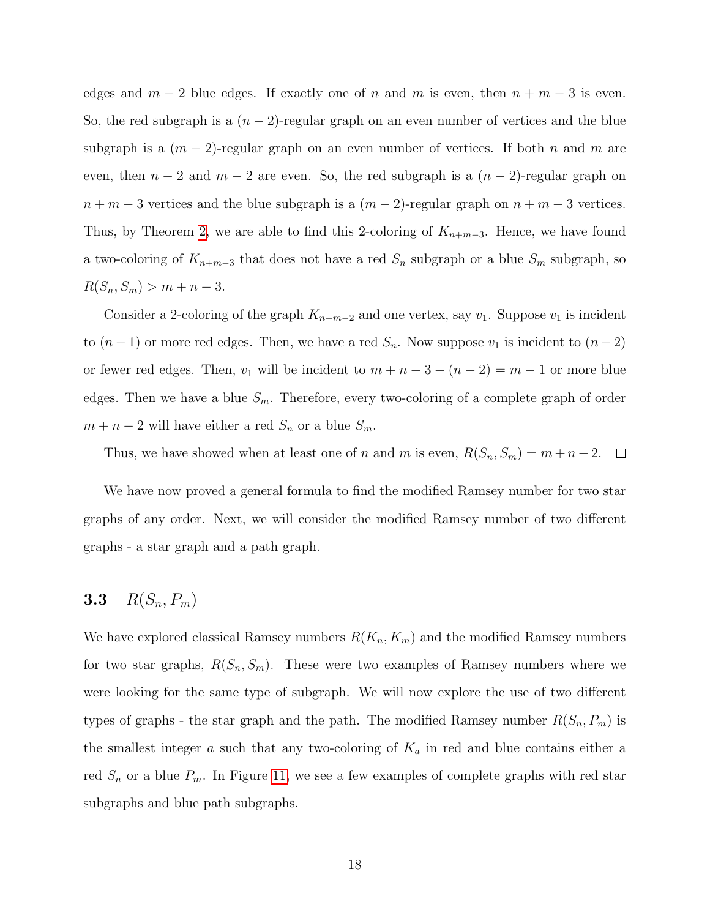edges and  $m-2$  blue edges. If exactly one of n and m is even, then  $n + m - 3$  is even. So, the red subgraph is a  $(n-2)$ -regular graph on an even number of vertices and the blue subgraph is a  $(m-2)$ -regular graph on an even number of vertices. If both n and m are even, then  $n-2$  and  $m-2$  are even. So, the red subgraph is a  $(n-2)$ -regular graph on  $n + m - 3$  vertices and the blue subgraph is a  $(m - 2)$ -regular graph on  $n + m - 3$  vertices. Thus, by Theorem [2,](#page-6-1) we are able to find this 2-coloring of  $K_{n+m-3}$ . Hence, we have found a two-coloring of  $K_{n+m-3}$  that does not have a red  $S_n$  subgraph or a blue  $S_m$  subgraph, so  $R(S_n, S_m) > m + n - 3.$ 

Consider a 2-coloring of the graph  $K_{n+m-2}$  and one vertex, say  $v_1$ . Suppose  $v_1$  is incident to  $(n-1)$  or more red edges. Then, we have a red  $S_n$ . Now suppose  $v_1$  is incident to  $(n-2)$ or fewer red edges. Then,  $v_1$  will be incident to  $m + n - 3 - (n - 2) = m - 1$  or more blue edges. Then we have a blue  $S_m$ . Therefore, every two-coloring of a complete graph of order  $m + n - 2$  will have either a red  $S_n$  or a blue  $S_m$ .

Thus, we have showed when at least one of n and m is even,  $R(S_n, S_m) = m + n - 2$ .  $\Box$ 

We have now proved a general formula to find the modified Ramsey number for two star graphs of any order. Next, we will consider the modified Ramsey number of two different graphs - a star graph and a path graph.

## **3.3**  $R(S_n, P_m)$

We have explored classical Ramsey numbers  $R(K_n, K_m)$  and the modified Ramsey numbers for two star graphs,  $R(S_n, S_m)$ . These were two examples of Ramsey numbers where we were looking for the same type of subgraph. We will now explore the use of two different types of graphs - the star graph and the path. The modified Ramsey number  $R(S_n, P_m)$  is the smallest integer a such that any two-coloring of  $K_a$  in red and blue contains either a red  $S_n$  or a blue  $P_m$ . In Figure [11,](#page-20-0) we see a few examples of complete graphs with red star subgraphs and blue path subgraphs.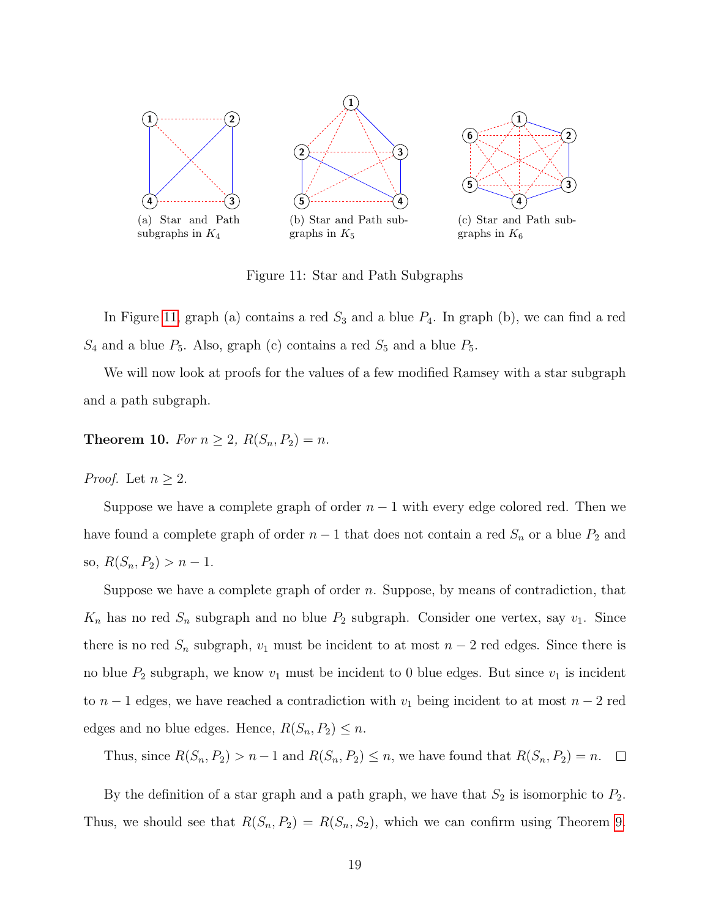<span id="page-20-0"></span>

Figure 11: Star and Path Subgraphs

In Figure [11,](#page-20-0) graph (a) contains a red  $S_3$  and a blue  $P_4$ . In graph (b), we can find a red  $S_4$  and a blue  $P_5$ . Also, graph (c) contains a red  $S_5$  and a blue  $P_5$ .

We will now look at proofs for the values of a few modified Ramsey with a star subgraph and a path subgraph.

**Theorem 10.** For  $n \ge 2$ ,  $R(S_n, P_2) = n$ .

*Proof.* Let  $n \geq 2$ .

Suppose we have a complete graph of order  $n-1$  with every edge colored red. Then we have found a complete graph of order  $n-1$  that does not contain a red  $S_n$  or a blue  $P_2$  and so,  $R(S_n, P_2) > n - 1$ .

Suppose we have a complete graph of order  $n$ . Suppose, by means of contradiction, that  $K_n$  has no red  $S_n$  subgraph and no blue  $P_2$  subgraph. Consider one vertex, say  $v_1$ . Since there is no red  $S_n$  subgraph,  $v_1$  must be incident to at most  $n-2$  red edges. Since there is no blue  $P_2$  subgraph, we know  $v_1$  must be incident to 0 blue edges. But since  $v_1$  is incident to  $n-1$  edges, we have reached a contradiction with  $v_1$  being incident to at most  $n-2$  red edges and no blue edges. Hence,  $R(S_n, P_2) \leq n$ .

Thus, since  $R(S_n, P_2) > n-1$  and  $R(S_n, P_2) \le n$ , we have found that  $R(S_n, P_2) = n$ .  $\Box$ 

By the definition of a star graph and a path graph, we have that  $S_2$  is isomorphic to  $P_2$ . Thus, we should see that  $R(S_n, P_2) = R(S_n, S_2)$ , which we can confirm using Theorem [9.](#page-18-0)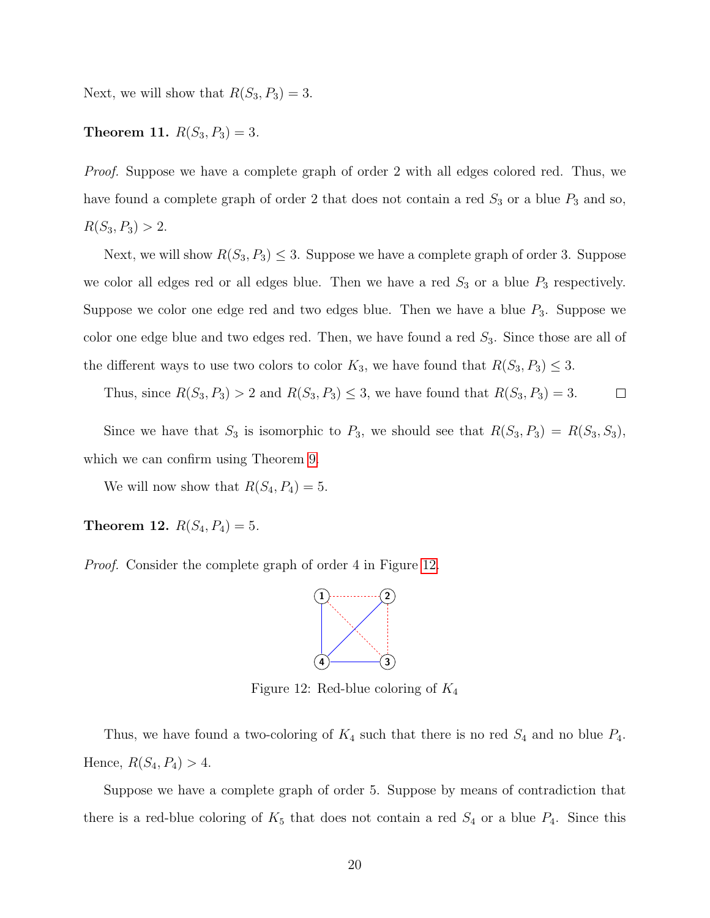Next, we will show that  $R(S_3, P_3) = 3$ .

### **Theorem 11.**  $R(S_3, P_3) = 3$ .

Proof. Suppose we have a complete graph of order 2 with all edges colored red. Thus, we have found a complete graph of order 2 that does not contain a red  $S_3$  or a blue  $P_3$  and so,  $R(S_3, P_3) > 2.$ 

Next, we will show  $R(S_3, P_3) \leq 3$ . Suppose we have a complete graph of order 3. Suppose we color all edges red or all edges blue. Then we have a red  $S_3$  or a blue  $P_3$  respectively. Suppose we color one edge red and two edges blue. Then we have a blue  $P_3$ . Suppose we color one edge blue and two edges red. Then, we have found a red  $S_3$ . Since those are all of the different ways to use two colors to color  $K_3$ , we have found that  $R(S_3, P_3) \leq 3$ .

Thus, since  $R(S_3, P_3) > 2$  and  $R(S_3, P_3) \leq 3$ , we have found that  $R(S_3, P_3) = 3$ .  $\Box$ 

Since we have that  $S_3$  is isomorphic to  $P_3$ , we should see that  $R(S_3, P_3) = R(S_3, S_3)$ , which we can confirm using Theorem [9.](#page-18-0)

We will now show that  $R(S_4, P_4) = 5$ .

Theorem 12.  $R(S_4, P_4) = 5$ .

<span id="page-21-0"></span>Proof. Consider the complete graph of order 4 in Figure [12.](#page-21-0)



Figure 12: Red-blue coloring of  $K_4$ 

Thus, we have found a two-coloring of  $K_4$  such that there is no red  $S_4$  and no blue  $P_4$ . Hence,  $R(S_4, P_4) > 4$ .

Suppose we have a complete graph of order 5. Suppose by means of contradiction that there is a red-blue coloring of  $K_5$  that does not contain a red  $S_4$  or a blue  $P_4$ . Since this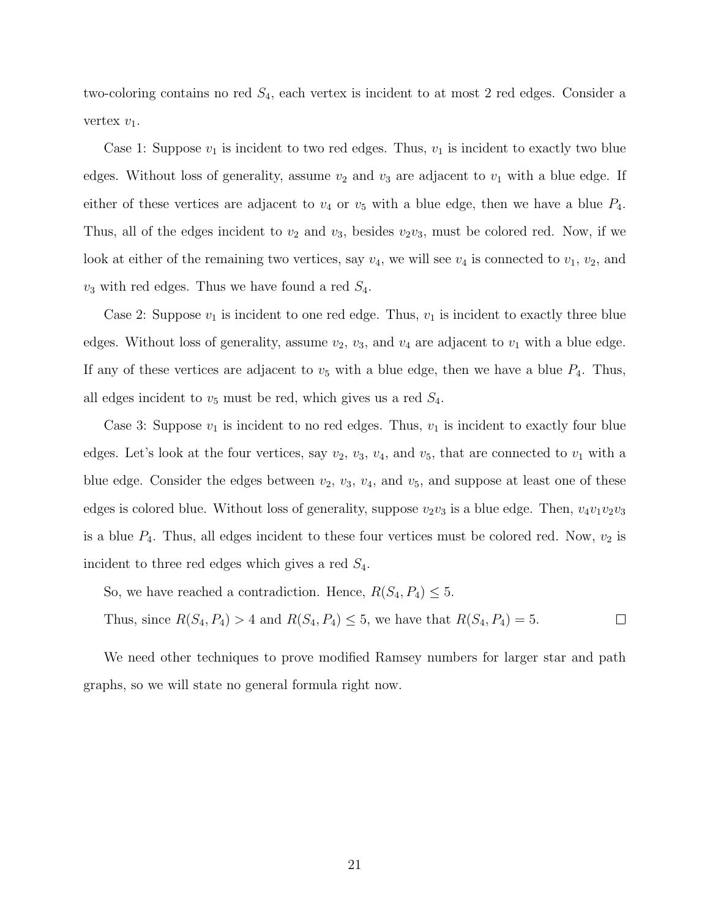two-coloring contains no red  $S_4$ , each vertex is incident to at most 2 red edges. Consider a vertex  $v_1$ .

Case 1: Suppose  $v_1$  is incident to two red edges. Thus,  $v_1$  is incident to exactly two blue edges. Without loss of generality, assume  $v_2$  and  $v_3$  are adjacent to  $v_1$  with a blue edge. If either of these vertices are adjacent to  $v_4$  or  $v_5$  with a blue edge, then we have a blue  $P_4$ . Thus, all of the edges incident to  $v_2$  and  $v_3$ , besides  $v_2v_3$ , must be colored red. Now, if we look at either of the remaining two vertices, say  $v_4$ , we will see  $v_4$  is connected to  $v_1, v_2$ , and  $v_3$  with red edges. Thus we have found a red  $S_4$ .

Case 2: Suppose  $v_1$  is incident to one red edge. Thus,  $v_1$  is incident to exactly three blue edges. Without loss of generality, assume  $v_2$ ,  $v_3$ , and  $v_4$  are adjacent to  $v_1$  with a blue edge. If any of these vertices are adjacent to  $v_5$  with a blue edge, then we have a blue  $P_4$ . Thus, all edges incident to  $v_5$  must be red, which gives us a red  $S_4$ .

Case 3: Suppose  $v_1$  is incident to no red edges. Thus,  $v_1$  is incident to exactly four blue edges. Let's look at the four vertices, say  $v_2$ ,  $v_3$ ,  $v_4$ , and  $v_5$ , that are connected to  $v_1$  with a blue edge. Consider the edges between  $v_2$ ,  $v_3$ ,  $v_4$ , and  $v_5$ , and suppose at least one of these edges is colored blue. Without loss of generality, suppose  $v_2v_3$  is a blue edge. Then,  $v_4v_1v_2v_3$ is a blue  $P_4$ . Thus, all edges incident to these four vertices must be colored red. Now,  $v_2$  is incident to three red edges which gives a red  $S_4$ .

So, we have reached a contradiction. Hence,  $R(S_4, P_4) \leq 5$ .

Thus, since  $R(S_4, P_4) > 4$  and  $R(S_4, P_4) \le 5$ , we have that  $R(S_4, P_4) = 5$ .  $\Box$ 

We need other techniques to prove modified Ramsey numbers for larger star and path graphs, so we will state no general formula right now.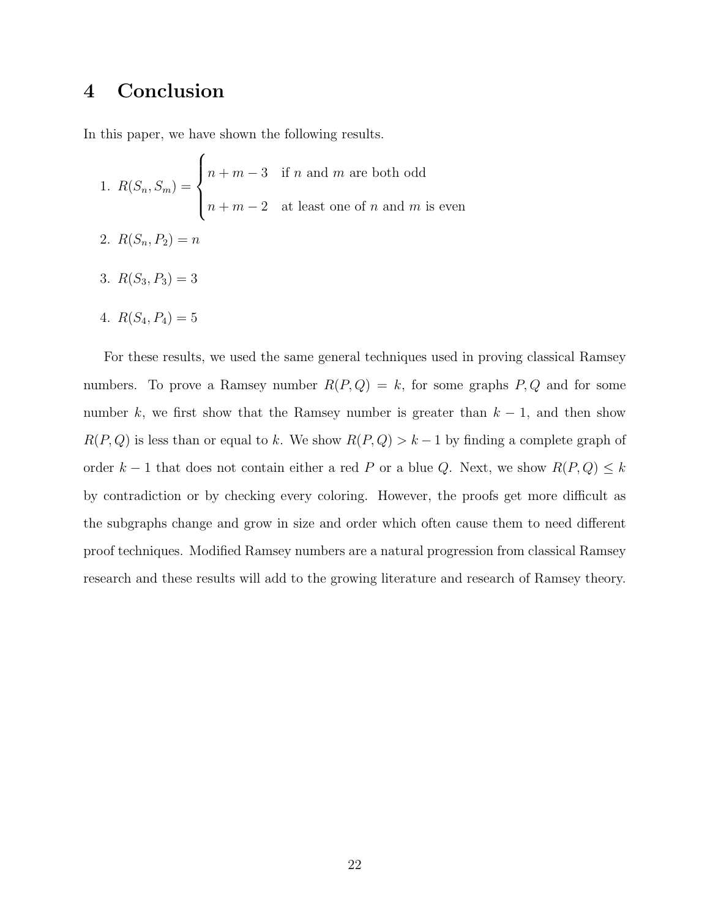## 4 Conclusion

In this paper, we have shown the following results.

- 1.  $R(S_n, S_m) =$  $\sqrt{ }$  $\int$  $\overline{\mathcal{L}}$  $n + m - 3$  if n and m are both odd  $n + m - 2$  at least one of n and m is even 2.  $R(S_n, P_2) = n$
- 3.  $R(S_3, P_3) = 3$
- 4.  $R(S_4, P_4) = 5$

For these results, we used the same general techniques used in proving classical Ramsey numbers. To prove a Ramsey number  $R(P,Q) = k$ , for some graphs  $P,Q$  and for some number k, we first show that the Ramsey number is greater than  $k - 1$ , and then show  $R(P,Q)$  is less than or equal to k. We show  $R(P,Q) > k - 1$  by finding a complete graph of order  $k - 1$  that does not contain either a red P or a blue Q. Next, we show  $R(P, Q) \leq k$ by contradiction or by checking every coloring. However, the proofs get more difficult as the subgraphs change and grow in size and order which often cause them to need different proof techniques. Modified Ramsey numbers are a natural progression from classical Ramsey research and these results will add to the growing literature and research of Ramsey theory.